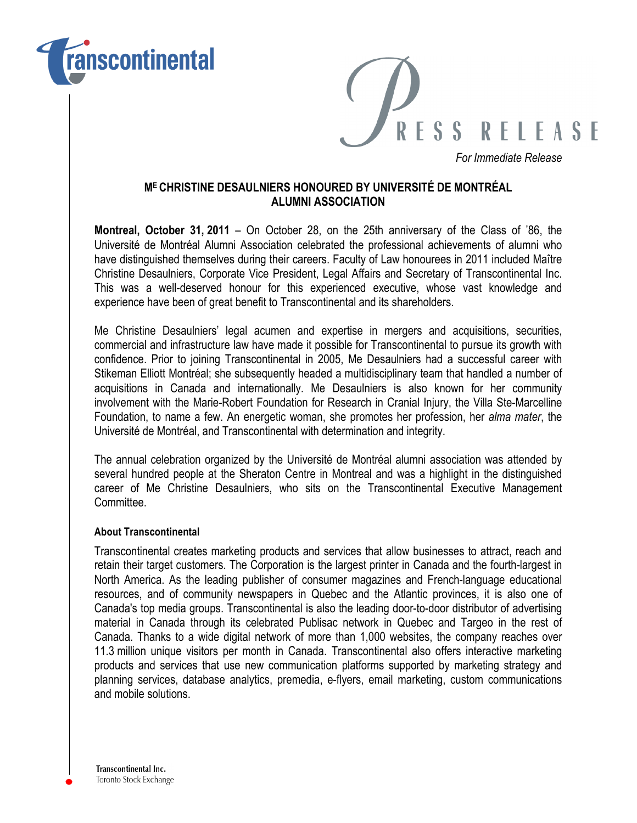



*For Immediate Release*

## **ME CHRISTINE DESAULNIERS HONOURED BY UNIVERSITÉ DE MONTRÉAL ALUMNI ASSOCIATION**

**Montreal, October 31, 2011** – On October 28, on the 25th anniversary of the Class of '86, the Université de Montréal Alumni Association celebrated the professional achievements of alumni who have distinguished themselves during their careers. Faculty of Law honourees in 2011 included Maître Christine Desaulniers, Corporate Vice President, Legal Affairs and Secretary of Transcontinental Inc. This was a well-deserved honour for this experienced executive, whose vast knowledge and experience have been of great benefit to Transcontinental and its shareholders.

Me Christine Desaulniers' legal acumen and expertise in mergers and acquisitions, securities, commercial and infrastructure law have made it possible for Transcontinental to pursue its growth with confidence. Prior to joining Transcontinental in 2005, Me Desaulniers had a successful career with Stikeman Elliott Montréal; she subsequently headed a multidisciplinary team that handled a number of acquisitions in Canada and internationally. Me Desaulniers is also known for her community involvement with the Marie-Robert Foundation for Research in Cranial Injury, the Villa Ste-Marcelline Foundation, to name a few. An energetic woman, she promotes her profession, her *alma mater*, the Université de Montréal, and Transcontinental with determination and integrity.

The annual celebration organized by the Université de Montréal alumni association was attended by several hundred people at the Sheraton Centre in Montreal and was a highlight in the distinguished career of Me Christine Desaulniers, who sits on the Transcontinental Executive Management **Committee** 

## **About Transcontinental**

Transcontinental creates marketing products and services that allow businesses to attract, reach and retain their target customers. The Corporation is the largest printer in Canada and the fourth-largest in North America. As the leading publisher of consumer magazines and French-language educational resources, and of community newspapers in Quebec and the Atlantic provinces, it is also one of Canada's top media groups. Transcontinental is also the leading door-to-door distributor of advertising material in Canada through its celebrated Publisac network in Quebec and Targeo in the rest of Canada. Thanks to a wide digital network of more than 1,000 websites, the company reaches over 11.3 million unique visitors per month in Canada. Transcontinental also offers interactive marketing products and services that use new communication platforms supported by marketing strategy and planning services, database analytics, premedia, e-flyers, email marketing, custom communications and mobile solutions.